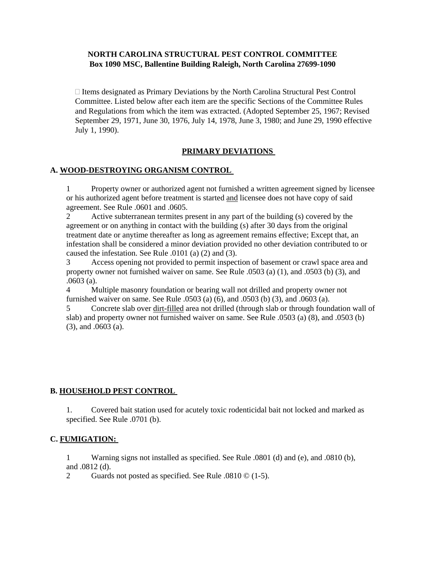### **NORTH CAROLINA STRUCTURAL PEST CONTROL COMMITTEE Box 1090 MSC, Ballentine Building Raleigh, North Carolina 27699-1090**

 $\Box$  Items designated as Primary Deviations by the North Carolina Structural Pest Control Committee. Listed below after each item are the specific Sections of the Committee Rules and Regulations from which the item was extracted. (Adopted September 25, 1967; Revised September 29, 1971, June 30, 1976, July 14, 1978, June 3, 1980; and June 29, 1990 effective July 1, 1990).

## **PRIMARY DEVIATIONS**

#### **A. WOOD-DESTROYING ORGANISM CONTROL**

1 Property owner or authorized agent not furnished a written agreement signed by licensee or his authorized agent before treatment is started and licensee does not have copy of said agreement. See Rule .0601 and .0605.

2 Active subterranean termites present in any part of the building (s) covered by the agreement or on anything in contact with the building (s) after 30 days from the original treatment date or anytime thereafter as long as agreement remains effective; Except that, an infestation shall be considered a minor deviation provided no other deviation contributed to or caused the infestation. See Rule .0101 (a) (2) and (3).

3 Access opening not provided to permit inspection of basement or crawl space area and property owner not furnished waiver on same. See Rule .0503 (a) (1), and .0503 (b) (3), and .0603 (a).

4 Multiple masonry foundation or bearing wall not drilled and property owner not furnished waiver on same. See Rule .0503 (a) (6), and .0503 (b) (3), and .0603 (a).

5 Concrete slab over dirt-filled area not drilled (through slab or through foundation wall of slab) and property owner not furnished waiver on same. See Rule .0503 (a) (8), and .0503 (b) (3), and .0603 (a).

#### **B. HOUSEHOLD PEST CONTROL**

1. Covered bait station used for acutely toxic rodenticidal bait not locked and marked as specified. See Rule .0701 (b).

#### **C. FUMIGATION:**

1 Warning signs not installed as specified. See Rule .0801 (d) and (e), and .0810 (b), and .0812 (d).

2 Guards not posted as specified. See Rule .0810 © (1-5).